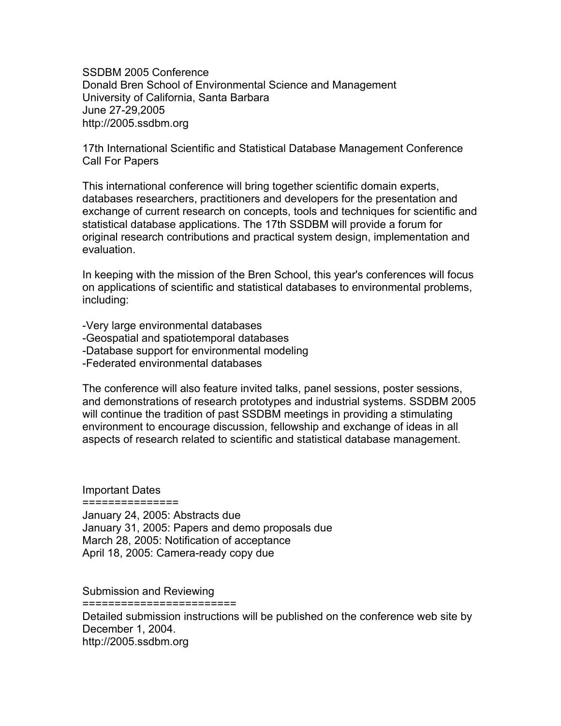SSDBM 2005 Conference Donald Bren School of Environmental Science and Management University of California, Santa Barbara June 27-29,2005 http://2005.ssdbm.org

17th International Scientific and Statistical Database Management Conference Call For Papers

This international conference will bring together scientific domain experts, databases researchers, practitioners and developers for the presentation and exchange of current research on concepts, tools and techniques for scientific and statistical database applications. The 17th SSDBM will provide a forum for original research contributions and practical system design, implementation and evaluation.

In keeping with the mission of the Bren School, this year's conferences will focus on applications of scientific and statistical databases to environmental problems, including:

-Very large environmental databases -Geospatial and spatiotemporal databases -Database support for environmental modeling -Federated environmental databases

The conference will also feature invited talks, panel sessions, poster sessions, and demonstrations of research prototypes and industrial systems. SSDBM 2005 will continue the tradition of past SSDBM meetings in providing a stimulating environment to encourage discussion, fellowship and exchange of ideas in all aspects of research related to scientific and statistical database management.

Important Dates

===============

January 24, 2005: Abstracts due January 31, 2005: Papers and demo proposals due March 28, 2005: Notification of acceptance April 18, 2005: Camera-ready copy due

Submission and Reviewing

========================

Detailed submission instructions will be published on the conference web site by December 1, 2004. http://2005.ssdbm.org